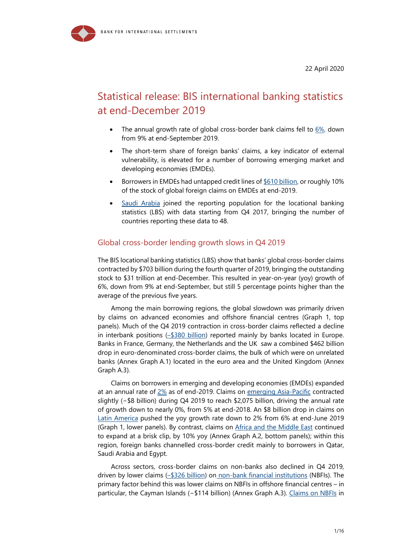

# Statistical release: BIS international banking statistics at end-December 2019

- The annual growth rate of global cross-border bank claims fell to [6%,](https://stats.bis.org/statx/srs/tseries/LBS_D_PUB/Q.G.C.A.TO1.A.5J.A.5A.A.5J.N?t=a1&p=20194&m=G&c=&o=w:20144.20194) down from 9% at end-September 2019.
- The short-term share of foreign banks' claims, a key indicator of external vulnerability, is elevated for a number of borrowing emerging market and developing economies (EMDEs).
- Borrowers in EMDEs had untapped credit lines o[f \\$610 billion,](https://stats.bis.org/statx/srs/tseries/CBS_PUB/Q.S.5A.4R.U.X.A.A.TO1.A.4T?t=b4&p=20194&m=S&c=4T&o=w:20144.20194) or roughly 10% of the stock of global foreign claims on EMDEs at end-2019.
- [Saudi Arabia](https://stats.bis.org/statx/srs/table/A5?c=SA&p=) joined the reporting population for the locational banking statistics (LBS) with data starting from Q4 2017, bringing the number of countries reporting these data to 48.

## Global cross-border lending growth slows in Q4 2019

The BIS locational banking statistics (LBS) show that banks' global cross-border claims contracted by \$703 billion during the fourth quarter of 2019, bringing the outstanding stock to \$31 trillion at end-December. This resulted in year-on-year (yoy) growth of 6%, down from 9% at end-September, but still 5 percentage points higher than the average of the previous five years.

Among the main borrowing regions, the global slowdown was primarily driven by claims on advanced economies and offshore financial centres (Graph 1, top panels). Much of the Q4 2019 contraction in cross-border claims reflected a decline in interbank positions [\(–\\$380 billion\)](https://stats.bis.org/statx/srs/table/A1?c=&m=F&p=20194&i=5.1) reported mainly by banks located in Europe. Banks in France, Germany, the Netherlands and the UK saw a combined \$462 billion drop in euro-denominated cross-border claims, the bulk of which were on unrelated banks (Annex Graph A.1) located in the euro area and the United Kingdom (Annex Graph A.3).

Claims on borrowers in emerging and developing economies (EMDEs) expanded at an annual rate of [2%](https://stats.bis.org/statx/srs/tseries/LBS_D_PUB/Q.G.C.A.TO1.A.5J.A.5A.A.4T.N?t=a3&p=20194&m=G&c=&o=w:20094.20194) as of end-2019. Claims on [emerging Asia-Pacific](https://stats.bis.org/statx/srs/tseries/LBS_D_PUB/Q:G:C:A:TO1:A:5J:A:5A:A:4Y:N?t=A3&p=20194&m=G&x=L_MEASURE.1.CL_STOCK_FLOW.G:F&o=w:20144.20194) contracted slightly (−\$8 billion) during Q4 2019 to reach \$2,075 billion, driving the annual rate of growth down to nearly 0%, from 5% at end-2018. An \$8 billion drop in claims on [Latin America](https://stats.bis.org/statx/srs/tseries/LBS_D_PUB/Q:G:C:A:TO1:A:5J:A:5A:A:4U:N?t=A1&p=20194&m=G&x=L_MEASURE.1.CL_STOCK_FLOW.G:F&o=w:20144.20194) pushed the yoy growth rate down to 2% from 6% at end-June 2019 (Graph 1, lower panels). By contrast, claims on [Africa and the Middle East](https://stats.bis.org/statx/srs/tseries/LBS_D_PUB/Q:G:C:A:TO1:A:5J:A:5A:A:4W:N?t=A3&p=20194&m=G&x=L_MEASURE.1.CL_STOCK_FLOW.G:F&o=w:20144.20194) continued to expand at a brisk clip, by 10% yoy (Annex Graph A.2, bottom panels); within this region, foreign banks channelled cross-border credit mainly to borrowers in Qatar, Saudi Arabia and Egypt.

Across sectors, cross-border claims on non-banks also declined in Q4 2019, driven by lower claims (-\$326 billion) o[n non-bank financial institutions](https://stats.bis.org/statx/srs/tseries/LBS_D_PUB/Q:F:C:A:TO1:A:5J:A:5A:B:5J:N?t=A1&p=20194&m=F&x=L_CP_SECTOR.9.CL_L_SECTOR.B:A:F:P&o=w:20184.20194) (NBFIs). The primary factor behind this was lower claims on NBFIs in offshore financial centres – in particular, the Cayman Islands (−\$114 billion) (Annex Graph A.3). [Claims on NBFIs](https://stats.bis.org/statx/srs/tseries/LBS_D_PUB/Q:F:C:A:TO1:A:5J:A:5A:F:KY:N?t=A3&p=20194&m=F&x=L_CP_COUNTRY.10.CL_BIS_IF_REF_AREA.KY:5C:JP:GB&o=w:20184.20194) in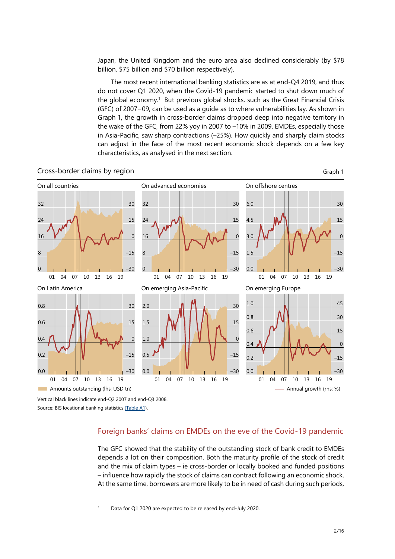Japan, the United Kingdom and the euro area also declined considerably (by \$78 billion, \$75 billion and \$70 billion respectively).

The most recent international banking statistics are as at end-Q4 2019, and thus do not cover Q1 2020, when the Covid-19 pandemic started to shut down much of the global economy.<sup>[1](#page-1-0)</sup> But previous global shocks, such as the Great Financial Crisis (GFC) of 2007−09, can be used as a guide as to where vulnerabilities lay. As shown in Graph 1, the growth in cross-border claims dropped deep into negative territory in the wake of the GFC, from 22% yoy in 2007 to –10% in 2009. EMDEs, especially those in Asia-Pacific, saw sharp contractions (–25%). How quickly and sharply claim stocks can adjust in the face of the most recent economic shock depends on a few key characteristics, as analysed in the next section.





### Foreign banks' claims on EMDEs on the eve of the Covid-19 pandemic

The GFC showed that the stability of the outstanding stock of bank credit to EMDEs depends a lot on their composition. Both the maturity profile of the stock of credit and the mix of claim types – ie cross-border or locally booked and funded positions – influence how rapidly the stock of claims can contract following an economic shock. At the same time, borrowers are more likely to be in need of cash during such periods,

<span id="page-1-0"></span>1 Data for Q1 2020 are expected to be released by end-July 2020.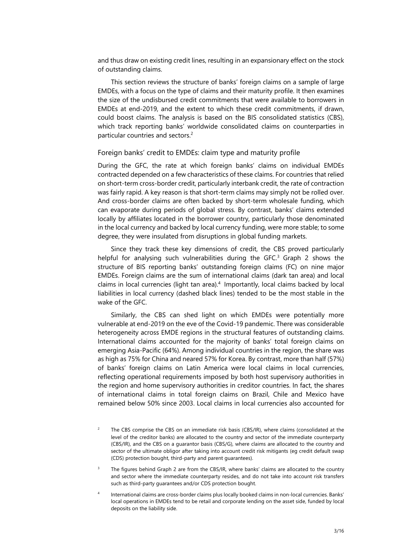and thus draw on existing credit lines, resulting in an expansionary effect on the stock of outstanding claims.

This section reviews the structure of banks' foreign claims on a sample of large EMDEs, with a focus on the type of claims and their maturity profile. It then examines the size of the undisbursed credit commitments that were available to borrowers in EMDEs at end-2019, and the extent to which these credit commitments, if drawn, could boost claims. The analysis is based on the BIS consolidated statistics (CBS), which track reporting banks' worldwide consolidated claims on counterparties in particular countries and sectors.[2](#page-2-2)

#### Foreign banks' credit to EMDEs: claim type and maturity profile

During the GFC, the rate at which foreign banks' claims on individual EMDEs contracted depended on a few characteristics of these claims. For countries that relied on short-term cross-border credit, particularly interbank credit, the rate of contraction was fairly rapid. A key reason is that short-term claims may simply not be rolled over. And cross-border claims are often backed by short-term wholesale funding, which can evaporate during periods of global stress. By contrast, banks' claims extended locally by affiliates located in the borrower country, particularly those denominated in the local currency and backed by local currency funding, were more stable; to some degree, they were insulated from disruptions in global funding markets.

Since they track these key dimensions of credit, the CBS proved particularly helpful for analysing such vulnerabilities during the GFC. $3$  Graph 2 shows the structure of BIS reporting banks' outstanding foreign claims (FC) on nine major EMDEs. Foreign claims are the sum of international claims (dark tan area) and local claims in local currencies (light tan area).<sup>4</sup> Importantly, local claims backed by local liabilities in local currency (dashed black lines) tended to be the most stable in the wake of the GFC.

Similarly, the CBS can shed light on which EMDEs were potentially more vulnerable at end-2019 on the eve of the Covid-19 pandemic. There was considerable heterogeneity across EMDE regions in the structural features of outstanding claims. International claims accounted for the majority of banks' total foreign claims on emerging Asia-Pacific (64%). Among individual countries in the region, the share was as high as 75% for China and neared 57% for Korea. By contrast, more than half (57%) of banks' foreign claims on Latin America were local claims in local currencies, reflecting operational requirements imposed by both host supervisory authorities in the region and home supervisory authorities in creditor countries. In fact, the shares of international claims in total foreign claims on Brazil, Chile and Mexico have remained below 50% since 2003. Local claims in local currencies also accounted for

<span id="page-2-2"></span><sup>2</sup> The CBS comprise the CBS on an immediate risk basis (CBS/IR), where claims (consolidated at the level of the creditor banks) are allocated to the country and sector of the immediate counterparty (CBS/IR), and the CBS on a guarantor basis (CBS/G), where claims are allocated to the country and sector of the ultimate obligor after taking into account credit risk mitigants (eg credit default swap (CDS) protection bought, third-party and parent guarantees).

<span id="page-2-1"></span><sup>3</sup> The figures behind Graph 2 are from the CBS/IR, where banks' claims are allocated to the country and sector where the immediate counterparty resides, and do not take into account risk transfers such as third-party guarantees and/or CDS protection bought.

<span id="page-2-0"></span><sup>4</sup> International claims are cross-border claims plus locally booked claims in non-local currencies. Banks' local operations in EMDEs tend to be retail and corporate lending on the asset side, funded by local deposits on the liability side.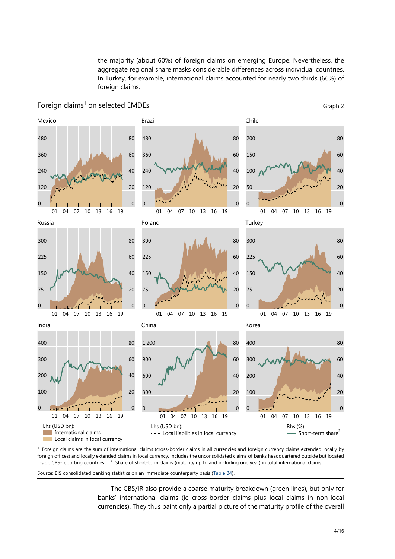the majority (about 60%) of foreign claims on emerging Europe. Nevertheless, the aggregate regional share masks considerable differences across individual countries. In Turkey, for example, international claims accounted for nearly two thirds (66%) of foreign claims.





<sup>1</sup> Foreign claims are the sum of international claims (cross-border claims in all currencies and foreign currency claims extended locally by foreign offices) and locally extended claims in local currency. Includes the unconsolidated claims of banks headquartered outside but located inside CBS-reporting countries. <sup>2</sup> Share of short-term claims (maturity up to and including one year) in total international claims.

Source: BIS consolidated banking statistics on an immediate counterparty basis [\(Table B4\)](http://lbnds115:8089/statx/srs/table/b4).

The CBS/IR also provide a coarse maturity breakdown (green lines), but only for banks' international claims (ie cross-border claims plus local claims in non-local currencies). They thus paint only a partial picture of the maturity profile of the overall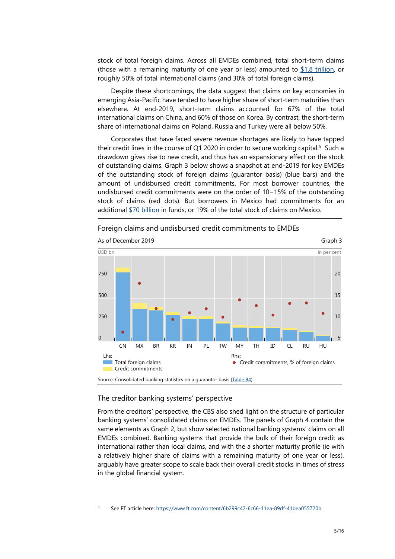stock of total foreign claims. Across all EMDEs combined, total short-term claims (those with a remaining maturity of one year or less) amounted to  $$1.8$  trillion, or roughly 50% of total international claims (and 30% of total foreign claims).

Despite these shortcomings, the data suggest that claims on key economies in emerging Asia-Pacific have tended to have higher share of short-term maturities than elsewhere. At end-2019, short-term claims accounted for 67% of the total international claims on China, and 60% of those on Korea. By contrast, the short-term share of international claims on Poland, Russia and Turkey were all below 50%.

Corporates that have faced severe revenue shortages are likely to have tapped their credit lines in the course of Q1 2020 in order to secure working capital.<sup>[5](#page-4-0)</sup> Such a drawdown gives rise to new credit, and thus has an expansionary effect on the stock of outstanding claims. Graph 3 below shows a snapshot at end-2019 for key EMDEs of the outstanding stock of foreign claims (guarantor basis) (blue bars) and the amount of undisbursed credit commitments. For most borrower countries, the undisbursed credit commitments were on the order of 10−15% of the outstanding stock of claims (red dots). But borrowers in Mexico had commitments for an additional [\\$70 billion](https://stats.bis.org/statx/srs/tseries/CBS_PUB/Q.S.5A.4R.U.X.A.A.TO1.A.MX?t=b4&p=20194&m=S&c=MX&o=w:20144.20194) in funds, or 19% of the total stock of claims on Mexico.



Foreign claims and undisbursed credit commitments to EMDEs

#### The creditor banking systems' perspective

From the creditors' perspective, the CBS also shed light on the structure of particular banking systems' consolidated claims on EMDEs. The panels of Graph 4 contain the same elements as Graph 2, but show selected national banking systems' claims on all EMDEs combined. Banking systems that provide the bulk of their foreign credit as international rather than local claims, and with the a shorter maturity profile (ie with a relatively higher share of claims with a remaining maturity of one year or less), arguably have greater scope to scale back their overall credit stocks in times of stress in the global financial system.

<span id="page-4-0"></span>5 See FT article here[: https://www.ft.com/content/6b299c42-6c66-11ea-89df-41bea055720b.](https://www.ft.com/content/6b299c42-6c66-11ea-89df-41bea055720b)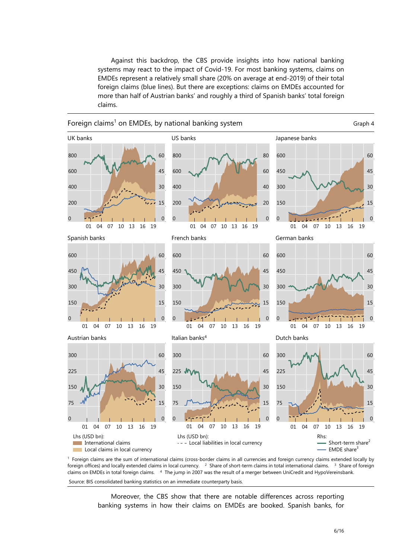Against this backdrop, the CBS provide insights into how national banking systems may react to the impact of Covid-19. For most banking systems, claims on EMDEs represent a relatively small share (20% on average at end-2019) of their total foreign claims (blue lines). But there are exceptions: claims on EMDEs accounted for more than half of Austrian banks' and roughly a third of Spanish banks' total foreign claims.



<sup>1</sup> Foreign claims are the sum of international claims (cross-border claims in all currencies and foreign currency claims extended locally by foreign offices) and locally extended claims in local currency.  $2 \times 2$  Share of short-term claims in total international claims.  $3 \times 2 \times 2 \times 2$ claims on EMDEs in total foreign claims. <sup>4</sup> The jump in 2007 was the result of a merger between UniCredit and HypoVereinsbank. Source: BIS consolidated banking statistics on an immediate counterparty basis.

Moreover, the CBS show that there are notable differences across reporting banking systems in how their claims on EMDEs are booked. Spanish banks, for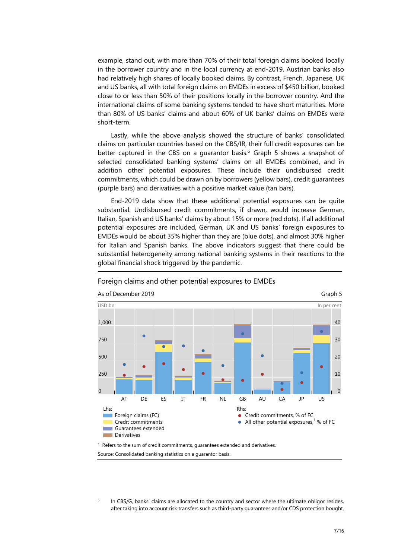example, stand out, with more than 70% of their total foreign claims booked locally in the borrower country and in the local currency at end-2019. Austrian banks also had relatively high shares of locally booked claims. By contrast, French, Japanese, UK and US banks, all with total foreign claims on EMDEs in excess of \$450 billion, booked close to or less than 50% of their positions locally in the borrower country. And the international claims of some banking systems tended to have short maturities. More than 80% of US banks' claims and about 60% of UK banks' claims on EMDEs were short-term.

Lastly, while the above analysis showed the structure of banks' consolidated claims on particular countries based on the CBS/IR, their full credit exposures can be better captured in the CBS on a guarantor basis.<sup>6</sup> Graph 5 shows a snapshot of selected consolidated banking systems' claims on all EMDEs combined, and in addition other potential exposures. These include their undisbursed credit commitments, which could be drawn on by borrowers (yellow bars), credit guarantees (purple bars) and derivatives with a positive market value (tan bars).

End-2019 data show that these additional potential exposures can be quite substantial. Undisbursed credit commitments, if drawn, would increase German, Italian, Spanish and US banks' claims by about 15% or more (red dots). If all additional potential exposures are included, German, UK and US banks' foreign exposures to EMDEs would be about 35% higher than they are (blue dots), and almost 30% higher for Italian and Spanish banks. The above indicators suggest that there could be substantial heterogeneity among national banking systems in their reactions to the global financial shock triggered by the pandemic.



#### Foreign claims and other potential exposures to EMDEs

Source: Consolidated banking statistics on a guarantor basis.

<span id="page-6-0"></span><sup>6</sup> In CBS/G, banks' claims are allocated to the country and sector where the ultimate obligor resides, after taking into account risk transfers such as third-party guarantees and/or CDS protection bought.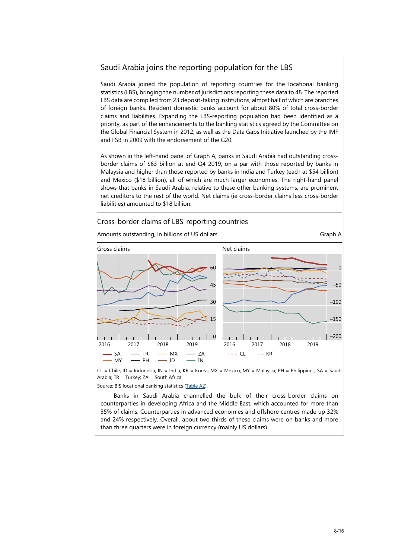### Saudi Arabia joins the reporting population for the LBS

Saudi Arabia joined the population of reporting countries for the locational banking statistics (LBS), bringing the number of jurisdictions reporting these data to 48. The reported LBS data are compiled from 23 deposit-taking institutions, almost half of which are branches of foreign banks. Resident domestic banks account for about 80% of total cross-border claims and liabilities. Expanding the LBS-reporting population had been identified as a priority, as part of the enhancements to the banking statistics agreed by the Committee on the Global Financial System in 2012, as well as the Data Gaps Initiative launched by the IMF and FSB in 2009 with the endorsement of the G20.

As shown in the left-hand panel of Graph A, banks in Saudi Arabia had outstanding crossborder claims of \$63 billion at end-Q4 2019, on a par with those reported by banks in Malaysia and higher than those reported by banks in India and Turkey (each at \$54 billion) and Mexico (\$18 billion), all of which are much larger economies. The right-hand panel shows that banks in Saudi Arabia, relative to these other banking systems, are prominent net creditors to the rest of the world. Net claims (ie cross-border claims less cross-border liabilities) amounted to \$18 billion.

#### Cross-border claims of LBS-reporting countries





CL = Chile; ID = Indonesia; IN = India; KR = Korea; MX = Mexico; MY = Malaysia; PH = Philippines; SA = Saudi Arabia; TR = Turkey; ZA = South Africa.

Source: BIS locational banking statistics [\(Table A2\).](https://stats.bis.org/statx/srs/table/a2?m=S)

Banks in Saudi Arabia channelled the bulk of their cross-border claims on counterparties in developing Africa and the Middle East, which accounted for more than 35% of claims. Counterparties in advanced economies and offshore centres made up 32% and 24% respectively. Overall, about two thirds of these claims were on banks and more than three quarters were in foreign currency (mainly US dollars).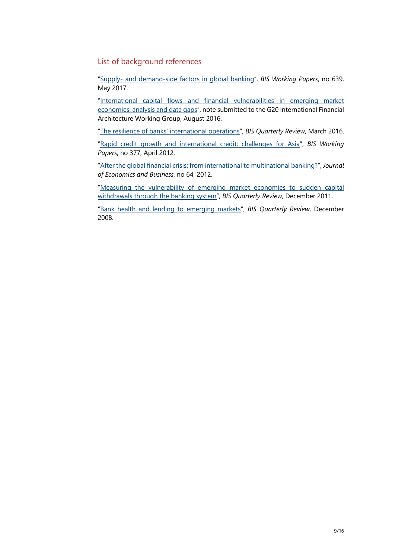### List of background references

["Supply- and demand-side factors in global banking"](https://www.bis.org/publ/work639.htm), *BIS Working Papers*, no 639, May 2017.

["International capital flows and financial vulnerabilities in emerging market](https://www.bis.org/publ/othp25.htm)  [economies: analysis and data gaps"](https://www.bis.org/publ/othp25.htm), note submitted to the G20 International Financial Architecture Working Group, August 2016.

["The resilience of banks' international operations"](https://www.bis.org/publ/qtrpdf/r_qt1603g.htm), *BIS Quarterly Review*, March 2016.

["Rapid credit growth and international credit: challenges for Asia"](https://www.bis.org/publ/work377.htm), *BIS Working Papers*, no 377, April 2012.

["After the global financial crisis: from international to multinational banking?"](https://www.sciencedirect.com/science/article/pii/S014861951100052X), *Journal of Economics and Business*, no 64, 2012.

["Measuring the vulnerability of emerging market economies to sudden capital](https://www.bis.org/publ/qtrpdf/r_qt1112v.htm)  [withdrawals through the banking system"](https://www.bis.org/publ/qtrpdf/r_qt1112v.htm), *BIS Quarterly Review*, December 2011.

["Bank health and lending to emerging markets"](https://www.bis.org/publ/qtrpdf/r_qt0812g.htm), *BIS Quarterly Review*, December 2008.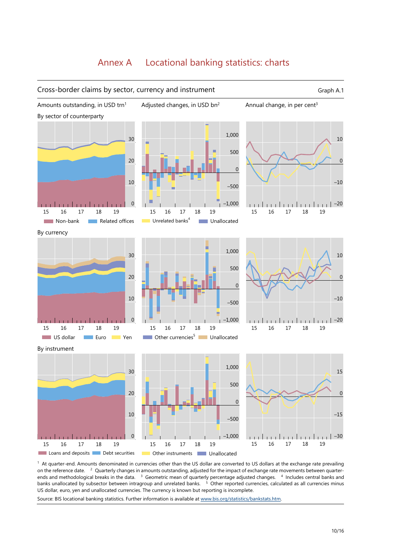# Annex A Locational banking statistics: charts



**Loans and deposits Debt securities College** Other instruments **Unallocated** 

 $<sup>1</sup>$  At quarter-end. Amounts denominated in currencies other than the US dollar are converted to US dollars at the exchange rate prevailing</sup> on the reference date. 2 Quarterly changes in amounts outstanding, adjusted for the impact of exchange rate movements between quarterends and methodological breaks in the data. <sup>3</sup> Geometric mean of quarterly percentage adjusted changes. <sup>4</sup> Includes central banks and banks unallocated by subsector between intragroup and unrelated banks. 5 Other reported currencies, calculated as all currencies minus US dollar, euro, yen and unallocated currencies. The currency is known but reporting is incomplete.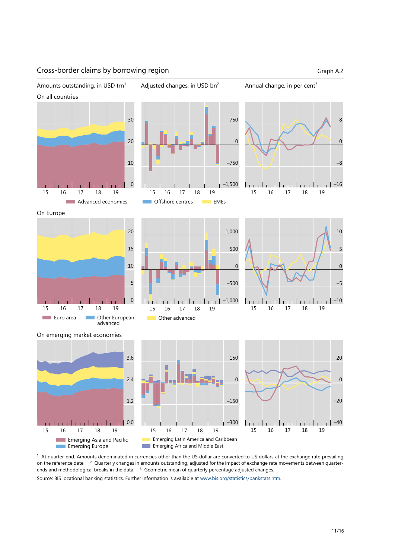

<sup>1</sup> At quarter-end. Amounts denominated in currencies other than the US dollar are converted to US dollars at the exchange rate prevailing on the reference date. <sup>2</sup> Quarterly changes in amounts outstanding, adjusted for the impact of exchange rate movements between quarterends and methodological breaks in the data. <sup>3</sup> Geometric mean of quarterly percentage adjusted changes. Source: BIS locational banking statistics. Further information is available at www.bis.org/statistics/bankstats.htm.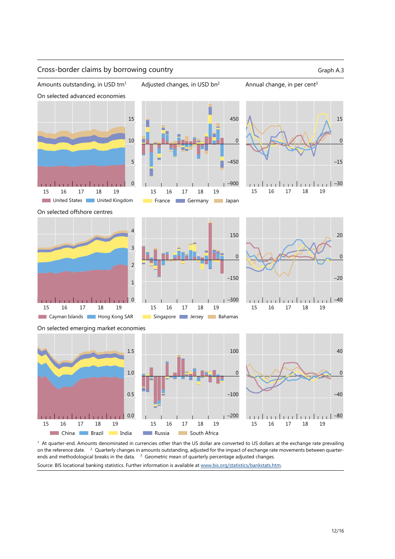

1 At quarter-end. Amounts denominated in currencies other than the US dollar are converted to US dollars at the exchange rate prevailing on the reference date. 2 Quarterly changes in amounts outstanding, adjusted for the impact of exchange rate movements between quarterends and methodological breaks in the data. <sup>3</sup> Geometric mean of quarterly percentage adjusted changes.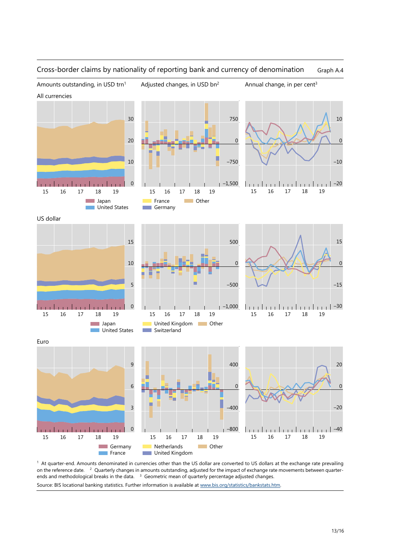

#### Cross-border claims by nationality of reporting bank and currency of denomination Graph A.4

<sup>1</sup> At quarter-end. Amounts denominated in currencies other than the US dollar are converted to US dollars at the exchange rate prevailing on the reference date. <sup>2</sup> Quarterly changes in amounts outstanding, adjusted for the impact of exchange rate movements between quarterends and methodological breaks in the data.  $3 \text{ Geometric mean of quarterly percentage adjusted changes.}$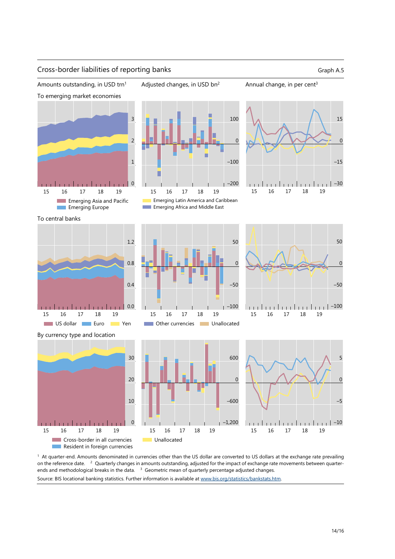

<sup>1</sup> At quarter-end. Amounts denominated in currencies other than the US dollar are converted to US dollars at the exchange rate prevailing on the reference date. <sup>2</sup> Quarterly changes in amounts outstanding, adjusted for the impact of exchange rate movements between quarterends and methodological breaks in the data. <sup>3</sup> Geometric mean of quarterly percentage adjusted changes.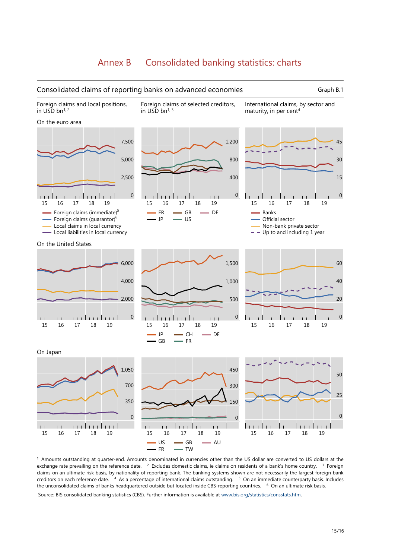# Annex B Consolidated banking statistics: charts

Foreign claims of selected creditors,

#### Consolidated claims of reporting banks on advanced economies Graph B.1

in USD  $bin^{1,3}$ 

Foreign claims and local positions, in USD bn $^{1,2}$ 





On the United States





 $-$  FR

15 16 17 18 19

matan tan tan tan

GB  $-$  US  $-$  DE

 $\overline{ }$  DF

FR JP

GB

0



International claims, by sector and

maturity, in per cent<sup>4</sup>

1,200

800

400

0

 $-$  Up to and including 1 year



15 16 17 18 19

On Japan 1,050 700 350

15 16 17 18 19

. . . . . . . . . . . . . . . . . . . .





1 Amounts outstanding at quarter-end. Amounts denominated in currencies other than the US dollar are converted to US dollars at the exchange rate prevailing on the reference date. <sup>2</sup> Excludes domestic claims, ie claims on residents of a bank's home country. <sup>3</sup> Foreign claims on an ultimate risk basis, by nationality of reporting bank. The banking systems shown are not necessarily the largest foreign bank creditors on each reference date. 4 As a percentage of international claims outstanding. 5 On an immediate counterparty basis. Includes the unconsolidated claims of banks headquartered outside but located inside CBS-reporting countries. <sup>6</sup> On an ultimate risk basis. Source: BIS consolidated banking statistics (CBS). Further information is available at [www.bis.org/statistics/consstats.htm.](https://www.bis.org/statistics/consstats.htm)